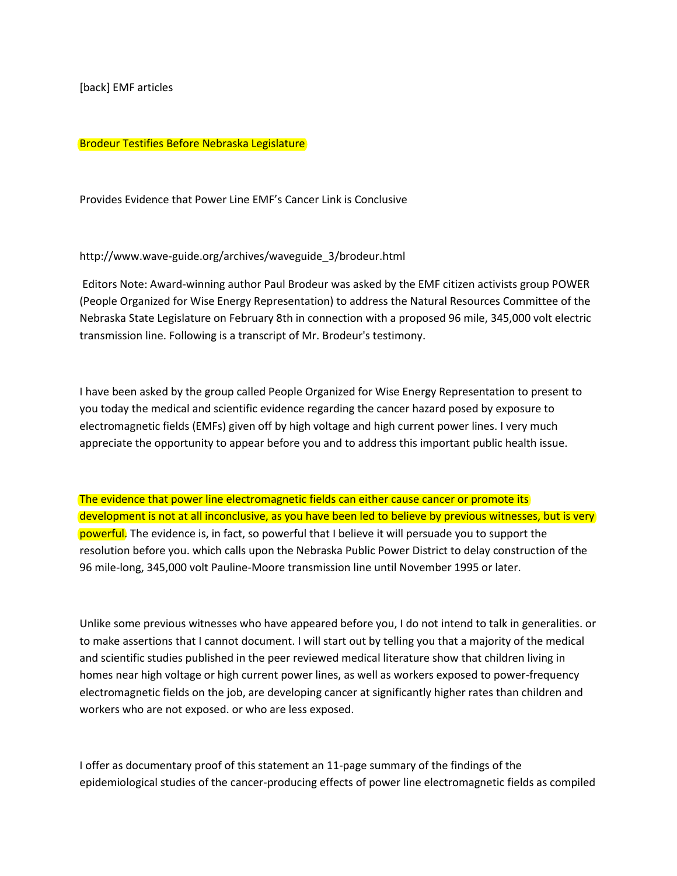[back] EMF articles

## Brodeur Testifies Before Nebraska Legislature

Provides Evidence that Power Line EMF's Cancer Link is Conclusive

## http://www.wave-guide.org/archives/waveguide\_3/brodeur.html

Editors Note: Award-winning author Paul Brodeur was asked by the EMF citizen activists group POWER (People Organized for Wise Energy Representation) to address the Natural Resources Committee of the Nebraska State Legislature on February 8th in connection with a proposed 96 mile, 345,000 volt electric transmission line. Following is a transcript of Mr. Brodeur's testimony.

I have been asked by the group called People Organized for Wise Energy Representation to present to you today the medical and scientific evidence regarding the cancer hazard posed by exposure to electromagnetic fields (EMFs) given off by high voltage and high current power lines. I very much appreciate the opportunity to appear before you and to address this important public health issue.

The evidence that power line electromagnetic fields can either cause cancer or promote its development is not at all inconclusive, as you have been led to believe by previous witnesses, but is very powerful. The evidence is, in fact, so powerful that I believe it will persuade you to support the resolution before you. which calls upon the Nebraska Public Power District to delay construction of the 96 mile-long, 345,000 volt Pauline-Moore transmission line until November 1995 or later.

Unlike some previous witnesses who have appeared before you, I do not intend to talk in generalities. or to make assertions that I cannot document. I will start out by telling you that a majority of the medical and scientific studies published in the peer reviewed medical literature show that children living in homes near high voltage or high current power lines, as well as workers exposed to power-frequency electromagnetic fields on the job, are developing cancer at significantly higher rates than children and workers who are not exposed. or who are less exposed.

I offer as documentary proof of this statement an 11-page summary of the findings of the epidemiological studies of the cancer-producing effects of power line electromagnetic fields as compiled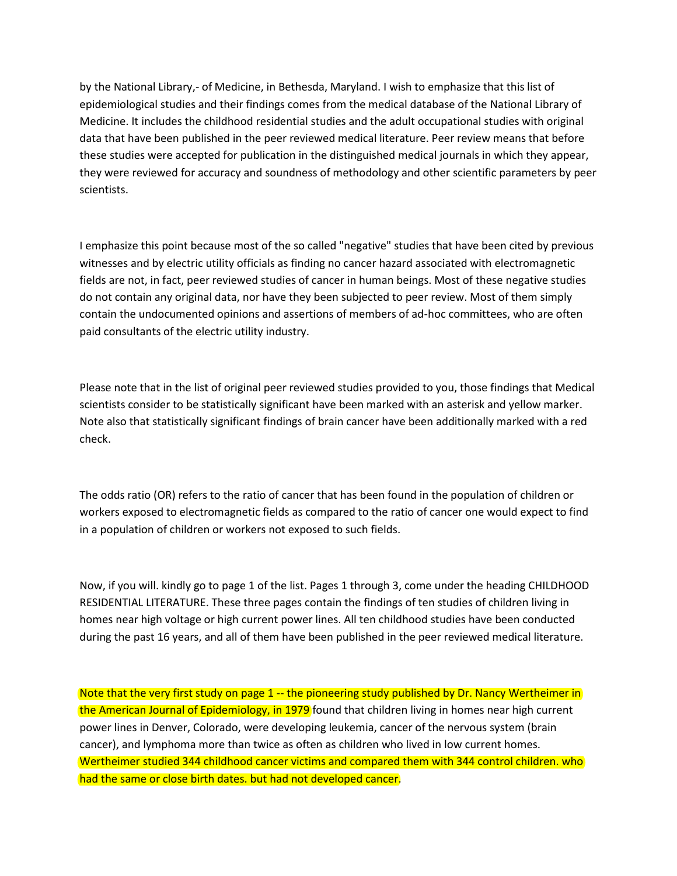by the National Library,- of Medicine, in Bethesda, Maryland. I wish to emphasize that this list of epidemiological studies and their findings comes from the medical database of the National Library of Medicine. It includes the childhood residential studies and the adult occupational studies with original data that have been published in the peer reviewed medical literature. Peer review means that before these studies were accepted for publication in the distinguished medical journals in which they appear, they were reviewed for accuracy and soundness of methodology and other scientific parameters by peer scientists.

I emphasize this point because most of the so called "negative" studies that have been cited by previous witnesses and by electric utility officials as finding no cancer hazard associated with electromagnetic fields are not, in fact, peer reviewed studies of cancer in human beings. Most of these negative studies do not contain any original data, nor have they been subjected to peer review. Most of them simply contain the undocumented opinions and assertions of members of ad-hoc committees, who are often paid consultants of the electric utility industry.

Please note that in the list of original peer reviewed studies provided to you, those findings that Medical scientists consider to be statistically significant have been marked with an asterisk and yellow marker. Note also that statistically significant findings of brain cancer have been additionally marked with a red check.

The odds ratio (OR) refers to the ratio of cancer that has been found in the population of children or workers exposed to electromagnetic fields as compared to the ratio of cancer one would expect to find in a population of children or workers not exposed to such fields.

Now, if you will. kindly go to page 1 of the list. Pages 1 through 3, come under the heading CHILDHOOD RESIDENTIAL LITERATURE. These three pages contain the findings of ten studies of children living in homes near high voltage or high current power lines. All ten childhood studies have been conducted during the past 16 years, and all of them have been published in the peer reviewed medical literature.

Note that the very first study on page 1 -- the pioneering study published by Dr. Nancy Wertheimer in the American Journal of Epidemiology, in 1979 found that children living in homes near high current power lines in Denver, Colorado, were developing leukemia, cancer of the nervous system (brain cancer), and lymphoma more than twice as often as children who lived in low current homes. Wertheimer studied 344 childhood cancer victims and compared them with 344 control children. who had the same or close birth dates. but had not developed cancer.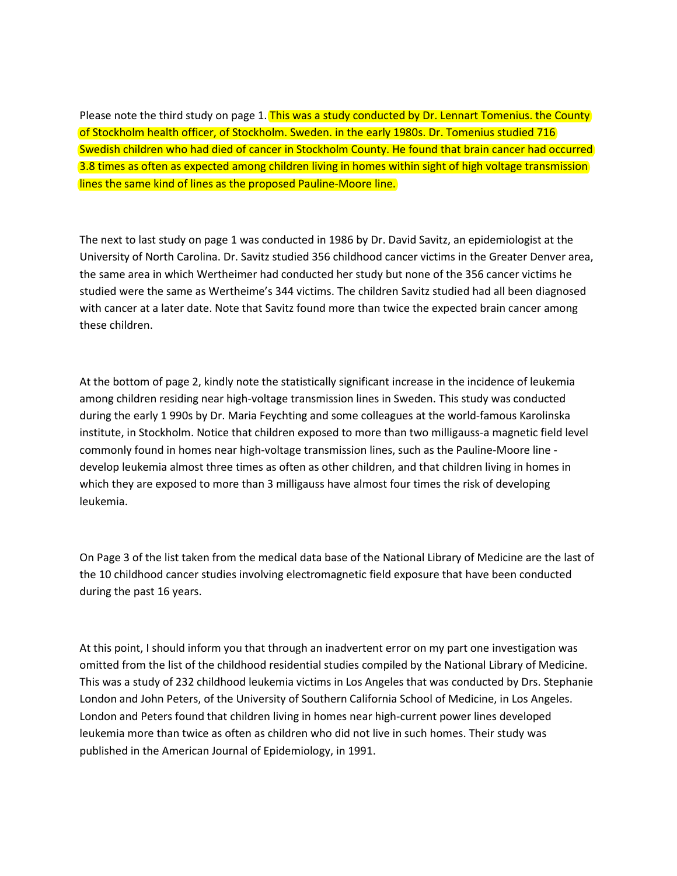Please note the third study on page 1. This was a study conducted by Dr. Lennart Tomenius. the County of Stockholm health officer, of Stockholm. Sweden. in the early 1980s. Dr. Tomenius studied 716 Swedish children who had died of cancer in Stockholm County. He found that brain cancer had occurred 3.8 times as often as expected among children living in homes within sight of high voltage transmission lines the same kind of lines as the proposed Pauline-Moore line.

The next to last study on page 1 was conducted in 1986 by Dr. David Savitz, an epidemiologist at the University of North Carolina. Dr. Savitz studied 356 childhood cancer victims in the Greater Denver area, the same area in which Wertheimer had conducted her study but none of the 356 cancer victims he studied were the same as Wertheime's 344 victims. The children Savitz studied had all been diagnosed with cancer at a later date. Note that Savitz found more than twice the expected brain cancer among these children.

At the bottom of page 2, kindly note the statistically significant increase in the incidence of leukemia among children residing near high-voltage transmission lines in Sweden. This study was conducted during the early 1 990s by Dr. Maria Feychting and some colleagues at the world-famous Karolinska institute, in Stockholm. Notice that children exposed to more than two milligauss-a magnetic field level commonly found in homes near high-voltage transmission lines, such as the Pauline-Moore line develop leukemia almost three times as often as other children, and that children living in homes in which they are exposed to more than 3 milligauss have almost four times the risk of developing leukemia.

On Page 3 of the list taken from the medical data base of the National Library of Medicine are the last of the 10 childhood cancer studies involving electromagnetic field exposure that have been conducted during the past 16 years.

At this point, I should inform you that through an inadvertent error on my part one investigation was omitted from the list of the childhood residential studies compiled by the National Library of Medicine. This was a study of 232 childhood leukemia victims in Los Angeles that was conducted by Drs. Stephanie London and John Peters, of the University of Southern California School of Medicine, in Los Angeles. London and Peters found that children living in homes near high-current power lines developed leukemia more than twice as often as children who did not live in such homes. Their study was published in the American Journal of Epidemiology, in 1991.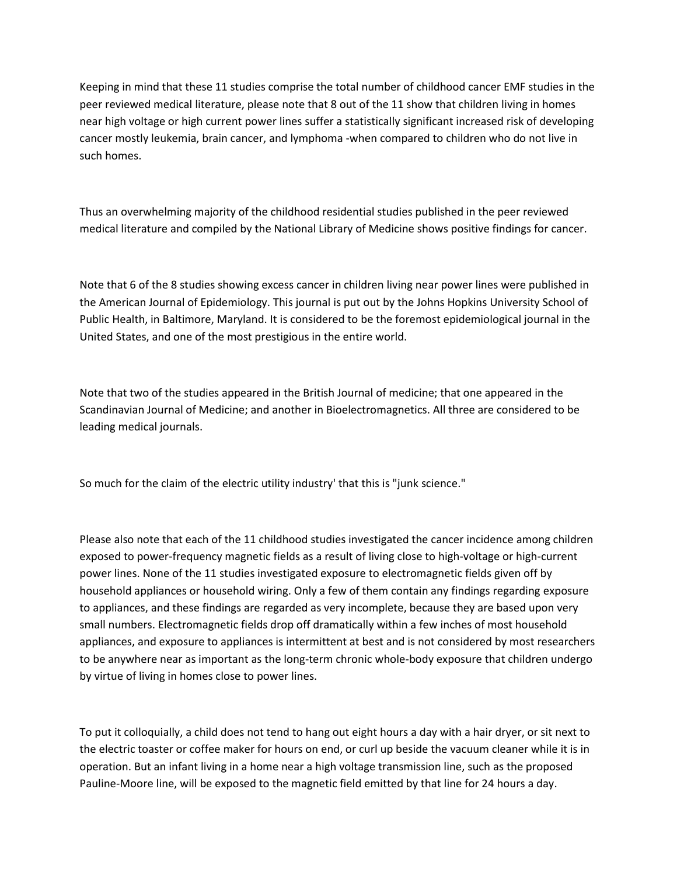Keeping in mind that these 11 studies comprise the total number of childhood cancer EMF studies in the peer reviewed medical literature, please note that 8 out of the 11 show that children living in homes near high voltage or high current power lines suffer a statistically significant increased risk of developing cancer mostly leukemia, brain cancer, and lymphoma -when compared to children who do not live in such homes.

Thus an overwhelming majority of the childhood residential studies published in the peer reviewed medical literature and compiled by the National Library of Medicine shows positive findings for cancer.

Note that 6 of the 8 studies showing excess cancer in children living near power lines were published in the American Journal of Epidemiology. This journal is put out by the Johns Hopkins University School of Public Health, in Baltimore, Maryland. It is considered to be the foremost epidemiological journal in the United States, and one of the most prestigious in the entire world.

Note that two of the studies appeared in the British Journal of medicine; that one appeared in the Scandinavian Journal of Medicine; and another in Bioelectromagnetics. All three are considered to be leading medical journals.

So much for the claim of the electric utility industry' that this is "junk science."

Please also note that each of the 11 childhood studies investigated the cancer incidence among children exposed to power-frequency magnetic fields as a result of living close to high-voltage or high-current power lines. None of the 11 studies investigated exposure to electromagnetic fields given off by household appliances or household wiring. Only a few of them contain any findings regarding exposure to appliances, and these findings are regarded as very incomplete, because they are based upon very small numbers. Electromagnetic fields drop off dramatically within a few inches of most household appliances, and exposure to appliances is intermittent at best and is not considered by most researchers to be anywhere near as important as the long-term chronic whole-body exposure that children undergo by virtue of living in homes close to power lines.

To put it colloquially, a child does not tend to hang out eight hours a day with a hair dryer, or sit next to the electric toaster or coffee maker for hours on end, or curl up beside the vacuum cleaner while it is in operation. But an infant living in a home near a high voltage transmission line, such as the proposed Pauline-Moore line, will be exposed to the magnetic field emitted by that line for 24 hours a day.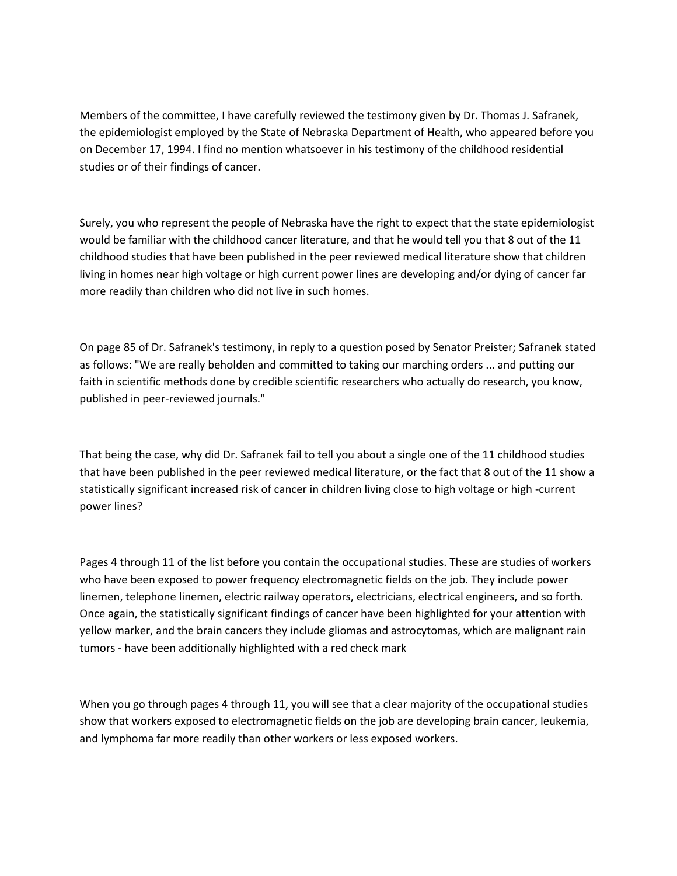Members of the committee, I have carefully reviewed the testimony given by Dr. Thomas J. Safranek, the epidemiologist employed by the State of Nebraska Department of Health, who appeared before you on December 17, 1994. I find no mention whatsoever in his testimony of the childhood residential studies or of their findings of cancer.

Surely, you who represent the people of Nebraska have the right to expect that the state epidemiologist would be familiar with the childhood cancer literature, and that he would tell you that 8 out of the 11 childhood studies that have been published in the peer reviewed medical literature show that children living in homes near high voltage or high current power lines are developing and/or dying of cancer far more readily than children who did not live in such homes.

On page 85 of Dr. Safranek's testimony, in reply to a question posed by Senator Preister; Safranek stated as follows: "We are really beholden and committed to taking our marching orders ... and putting our faith in scientific methods done by credible scientific researchers who actually do research, you know, published in peer-reviewed journals."

That being the case, why did Dr. Safranek fail to tell you about a single one of the 11 childhood studies that have been published in the peer reviewed medical literature, or the fact that 8 out of the 11 show a statistically significant increased risk of cancer in children living close to high voltage or high -current power lines?

Pages 4 through 11 of the list before you contain the occupational studies. These are studies of workers who have been exposed to power frequency electromagnetic fields on the job. They include power linemen, telephone linemen, electric railway operators, electricians, electrical engineers, and so forth. Once again, the statistically significant findings of cancer have been highlighted for your attention with yellow marker, and the brain cancers they include gliomas and astrocytomas, which are malignant rain tumors - have been additionally highlighted with a red check mark

When you go through pages 4 through 11, you will see that a clear majority of the occupational studies show that workers exposed to electromagnetic fields on the job are developing brain cancer, leukemia, and lymphoma far more readily than other workers or less exposed workers.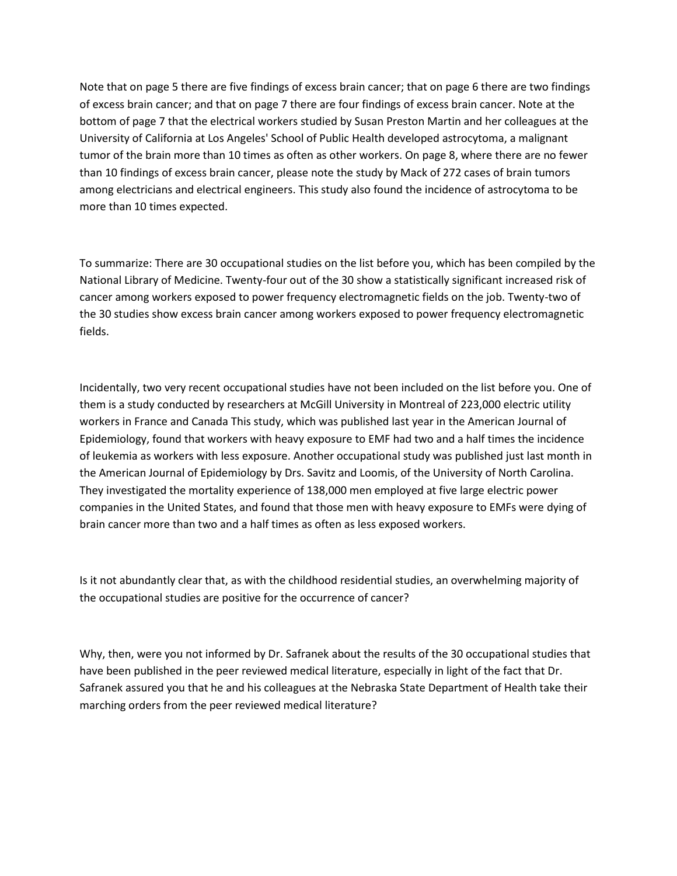Note that on page 5 there are five findings of excess brain cancer; that on page 6 there are two findings of excess brain cancer; and that on page 7 there are four findings of excess brain cancer. Note at the bottom of page 7 that the electrical workers studied by Susan Preston Martin and her colleagues at the University of California at Los Angeles' School of Public Health developed astrocytoma, a malignant tumor of the brain more than 10 times as often as other workers. On page 8, where there are no fewer than 10 findings of excess brain cancer, please note the study by Mack of 272 cases of brain tumors among electricians and electrical engineers. This study also found the incidence of astrocytoma to be more than 10 times expected.

To summarize: There are 30 occupational studies on the list before you, which has been compiled by the National Library of Medicine. Twenty-four out of the 30 show a statistically significant increased risk of cancer among workers exposed to power frequency electromagnetic fields on the job. Twenty-two of the 30 studies show excess brain cancer among workers exposed to power frequency electromagnetic fields.

Incidentally, two very recent occupational studies have not been included on the list before you. One of them is a study conducted by researchers at McGill University in Montreal of 223,000 electric utility workers in France and Canada This study, which was published last year in the American Journal of Epidemiology, found that workers with heavy exposure to EMF had two and a half times the incidence of leukemia as workers with less exposure. Another occupational study was published just last month in the American Journal of Epidemiology by Drs. Savitz and Loomis, of the University of North Carolina. They investigated the mortality experience of 138,000 men employed at five large electric power companies in the United States, and found that those men with heavy exposure to EMFs were dying of brain cancer more than two and a half times as often as less exposed workers.

Is it not abundantly clear that, as with the childhood residential studies, an overwhelming majority of the occupational studies are positive for the occurrence of cancer?

Why, then, were you not informed by Dr. Safranek about the results of the 30 occupational studies that have been published in the peer reviewed medical literature, especially in light of the fact that Dr. Safranek assured you that he and his colleagues at the Nebraska State Department of Health take their marching orders from the peer reviewed medical literature?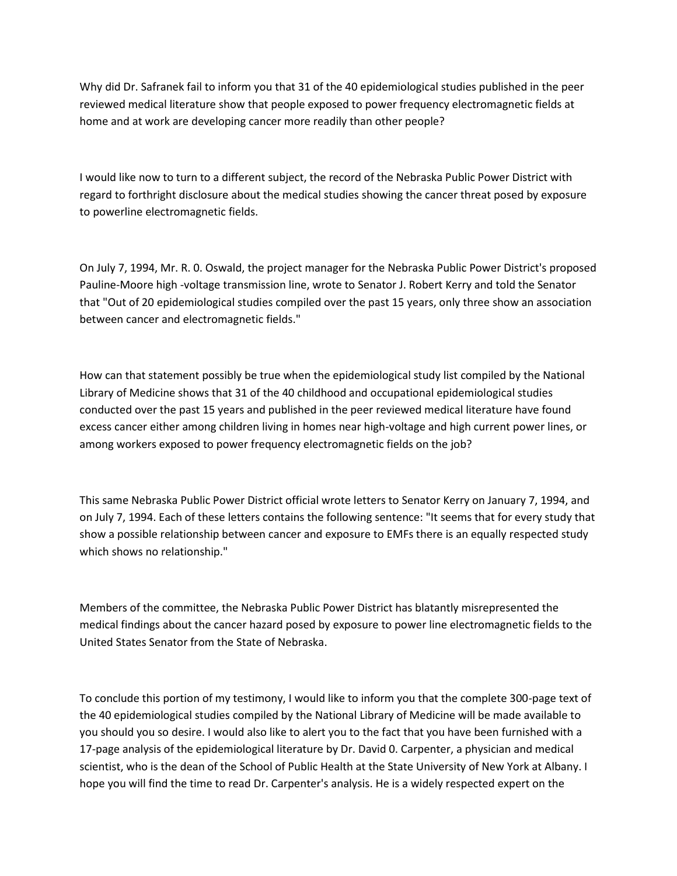Why did Dr. Safranek fail to inform you that 31 of the 40 epidemiological studies published in the peer reviewed medical literature show that people exposed to power frequency electromagnetic fields at home and at work are developing cancer more readily than other people?

I would like now to turn to a different subject, the record of the Nebraska Public Power District with regard to forthright disclosure about the medical studies showing the cancer threat posed by exposure to powerline electromagnetic fields.

On July 7, 1994, Mr. R. 0. Oswald, the project manager for the Nebraska Public Power District's proposed Pauline-Moore high -voltage transmission line, wrote to Senator J. Robert Kerry and told the Senator that "Out of 20 epidemiological studies compiled over the past 15 years, only three show an association between cancer and electromagnetic fields."

How can that statement possibly be true when the epidemiological study list compiled by the National Library of Medicine shows that 31 of the 40 childhood and occupational epidemiological studies conducted over the past 15 years and published in the peer reviewed medical literature have found excess cancer either among children living in homes near high-voltage and high current power lines, or among workers exposed to power frequency electromagnetic fields on the job?

This same Nebraska Public Power District official wrote letters to Senator Kerry on January 7, 1994, and on July 7, 1994. Each of these letters contains the following sentence: "It seems that for every study that show a possible relationship between cancer and exposure to EMFs there is an equally respected study which shows no relationship."

Members of the committee, the Nebraska Public Power District has blatantly misrepresented the medical findings about the cancer hazard posed by exposure to power line electromagnetic fields to the United States Senator from the State of Nebraska.

To conclude this portion of my testimony, I would like to inform you that the complete 300-page text of the 40 epidemiological studies compiled by the National Library of Medicine will be made available to you should you so desire. I would also like to alert you to the fact that you have been furnished with a 17-page analysis of the epidemiological literature by Dr. David 0. Carpenter, a physician and medical scientist, who is the dean of the School of Public Health at the State University of New York at Albany. I hope you will find the time to read Dr. Carpenter's analysis. He is a widely respected expert on the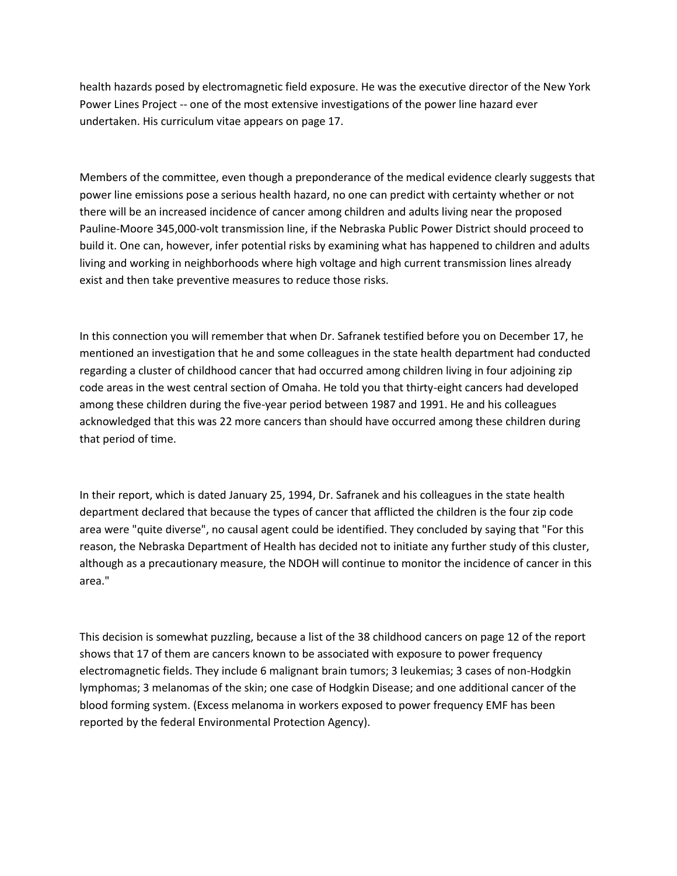health hazards posed by electromagnetic field exposure. He was the executive director of the New York Power Lines Project -- one of the most extensive investigations of the power line hazard ever undertaken. His curriculum vitae appears on page 17.

Members of the committee, even though a preponderance of the medical evidence clearly suggests that power line emissions pose a serious health hazard, no one can predict with certainty whether or not there will be an increased incidence of cancer among children and adults living near the proposed Pauline-Moore 345,000-volt transmission line, if the Nebraska Public Power District should proceed to build it. One can, however, infer potential risks by examining what has happened to children and adults living and working in neighborhoods where high voltage and high current transmission lines already exist and then take preventive measures to reduce those risks.

In this connection you will remember that when Dr. Safranek testified before you on December 17, he mentioned an investigation that he and some colleagues in the state health department had conducted regarding a cluster of childhood cancer that had occurred among children living in four adjoining zip code areas in the west central section of Omaha. He told you that thirty-eight cancers had developed among these children during the five-year period between 1987 and 1991. He and his colleagues acknowledged that this was 22 more cancers than should have occurred among these children during that period of time.

In their report, which is dated January 25, 1994, Dr. Safranek and his colleagues in the state health department declared that because the types of cancer that afflicted the children is the four zip code area were "quite diverse", no causal agent could be identified. They concluded by saying that "For this reason, the Nebraska Department of Health has decided not to initiate any further study of this cluster, although as a precautionary measure, the NDOH will continue to monitor the incidence of cancer in this area."

This decision is somewhat puzzling, because a list of the 38 childhood cancers on page 12 of the report shows that 17 of them are cancers known to be associated with exposure to power frequency electromagnetic fields. They include 6 malignant brain tumors; 3 leukemias; 3 cases of non-Hodgkin lymphomas; 3 melanomas of the skin; one case of Hodgkin Disease; and one additional cancer of the blood forming system. (Excess melanoma in workers exposed to power frequency EMF has been reported by the federal Environmental Protection Agency).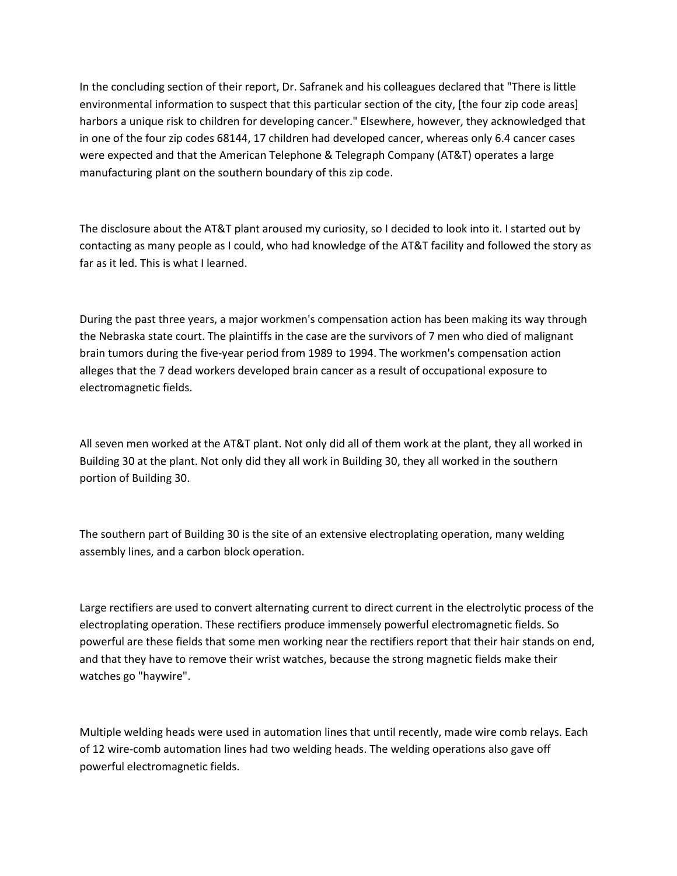In the concluding section of their report, Dr. Safranek and his colleagues declared that "There is little environmental information to suspect that this particular section of the city, [the four zip code areas] harbors a unique risk to children for developing cancer." Elsewhere, however, they acknowledged that in one of the four zip codes 68144, 17 children had developed cancer, whereas only 6.4 cancer cases were expected and that the American Telephone & Telegraph Company (AT&T) operates a large manufacturing plant on the southern boundary of this zip code.

The disclosure about the AT&T plant aroused my curiosity, so I decided to look into it. I started out by contacting as many people as I could, who had knowledge of the AT&T facility and followed the story as far as it led. This is what I learned.

During the past three years, a major workmen's compensation action has been making its way through the Nebraska state court. The plaintiffs in the case are the survivors of 7 men who died of malignant brain tumors during the five-year period from 1989 to 1994. The workmen's compensation action alleges that the 7 dead workers developed brain cancer as a result of occupational exposure to electromagnetic fields.

All seven men worked at the AT&T plant. Not only did all of them work at the plant, they all worked in Building 30 at the plant. Not only did they all work in Building 30, they all worked in the southern portion of Building 30.

The southern part of Building 30 is the site of an extensive electroplating operation, many welding assembly lines, and a carbon block operation.

Large rectifiers are used to convert alternating current to direct current in the electrolytic process of the electroplating operation. These rectifiers produce immensely powerful electromagnetic fields. So powerful are these fields that some men working near the rectifiers report that their hair stands on end, and that they have to remove their wrist watches, because the strong magnetic fields make their watches go "haywire".

Multiple welding heads were used in automation lines that until recently, made wire comb relays. Each of 12 wire-comb automation lines had two welding heads. The welding operations also gave off powerful electromagnetic fields.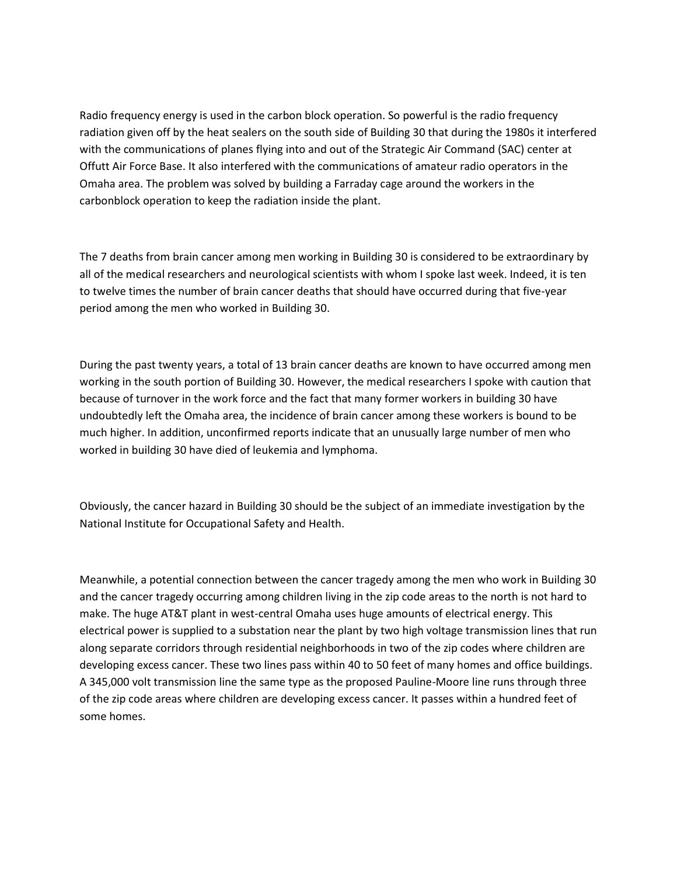Radio frequency energy is used in the carbon block operation. So powerful is the radio frequency radiation given off by the heat sealers on the south side of Building 30 that during the 1980s it interfered with the communications of planes flying into and out of the Strategic Air Command (SAC) center at Offutt Air Force Base. It also interfered with the communications of amateur radio operators in the Omaha area. The problem was solved by building a Farraday cage around the workers in the carbonblock operation to keep the radiation inside the plant.

The 7 deaths from brain cancer among men working in Building 30 is considered to be extraordinary by all of the medical researchers and neurological scientists with whom I spoke last week. Indeed, it is ten to twelve times the number of brain cancer deaths that should have occurred during that five-year period among the men who worked in Building 30.

During the past twenty years, a total of 13 brain cancer deaths are known to have occurred among men working in the south portion of Building 30. However, the medical researchers I spoke with caution that because of turnover in the work force and the fact that many former workers in building 30 have undoubtedly left the Omaha area, the incidence of brain cancer among these workers is bound to be much higher. In addition, unconfirmed reports indicate that an unusually large number of men who worked in building 30 have died of leukemia and lymphoma.

Obviously, the cancer hazard in Building 30 should be the subject of an immediate investigation by the National Institute for Occupational Safety and Health.

Meanwhile, a potential connection between the cancer tragedy among the men who work in Building 30 and the cancer tragedy occurring among children living in the zip code areas to the north is not hard to make. The huge AT&T plant in west-central Omaha uses huge amounts of electrical energy. This electrical power is supplied to a substation near the plant by two high voltage transmission lines that run along separate corridors through residential neighborhoods in two of the zip codes where children are developing excess cancer. These two lines pass within 40 to 50 feet of many homes and office buildings. A 345,000 volt transmission line the same type as the proposed Pauline-Moore line runs through three of the zip code areas where children are developing excess cancer. It passes within a hundred feet of some homes.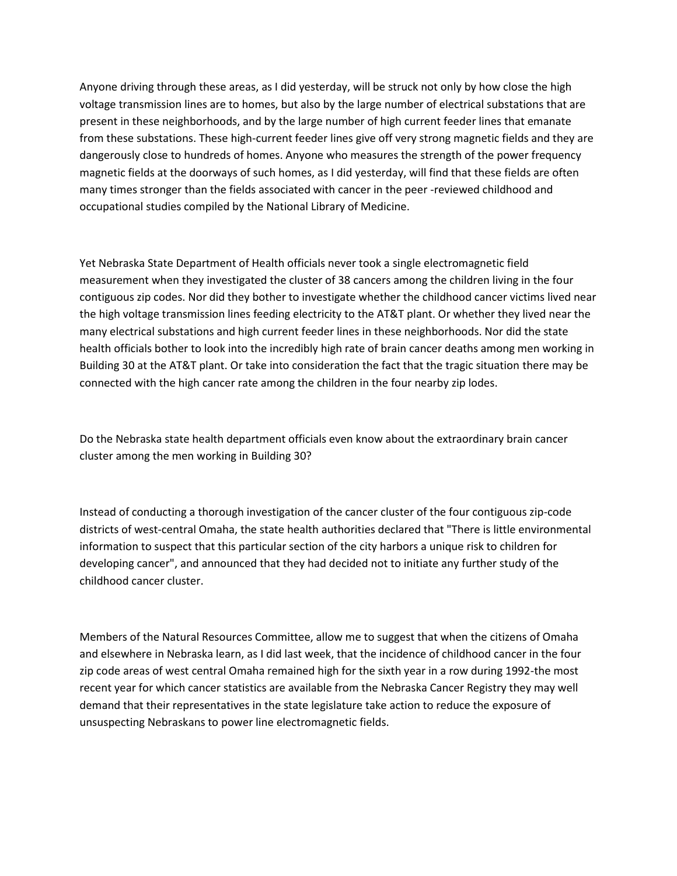Anyone driving through these areas, as I did yesterday, will be struck not only by how close the high voltage transmission lines are to homes, but also by the large number of electrical substations that are present in these neighborhoods, and by the large number of high current feeder lines that emanate from these substations. These high-current feeder lines give off very strong magnetic fields and they are dangerously close to hundreds of homes. Anyone who measures the strength of the power frequency magnetic fields at the doorways of such homes, as I did yesterday, will find that these fields are often many times stronger than the fields associated with cancer in the peer -reviewed childhood and occupational studies compiled by the National Library of Medicine.

Yet Nebraska State Department of Health officials never took a single electromagnetic field measurement when they investigated the cluster of 38 cancers among the children living in the four contiguous zip codes. Nor did they bother to investigate whether the childhood cancer victims lived near the high voltage transmission lines feeding electricity to the AT&T plant. Or whether they lived near the many electrical substations and high current feeder lines in these neighborhoods. Nor did the state health officials bother to look into the incredibly high rate of brain cancer deaths among men working in Building 30 at the AT&T plant. Or take into consideration the fact that the tragic situation there may be connected with the high cancer rate among the children in the four nearby zip lodes.

Do the Nebraska state health department officials even know about the extraordinary brain cancer cluster among the men working in Building 30?

Instead of conducting a thorough investigation of the cancer cluster of the four contiguous zip-code districts of west-central Omaha, the state health authorities declared that "There is little environmental information to suspect that this particular section of the city harbors a unique risk to children for developing cancer", and announced that they had decided not to initiate any further study of the childhood cancer cluster.

Members of the Natural Resources Committee, allow me to suggest that when the citizens of Omaha and elsewhere in Nebraska learn, as I did last week, that the incidence of childhood cancer in the four zip code areas of west central Omaha remained high for the sixth year in a row during 1992-the most recent year for which cancer statistics are available from the Nebraska Cancer Registry they may well demand that their representatives in the state legislature take action to reduce the exposure of unsuspecting Nebraskans to power line electromagnetic fields.